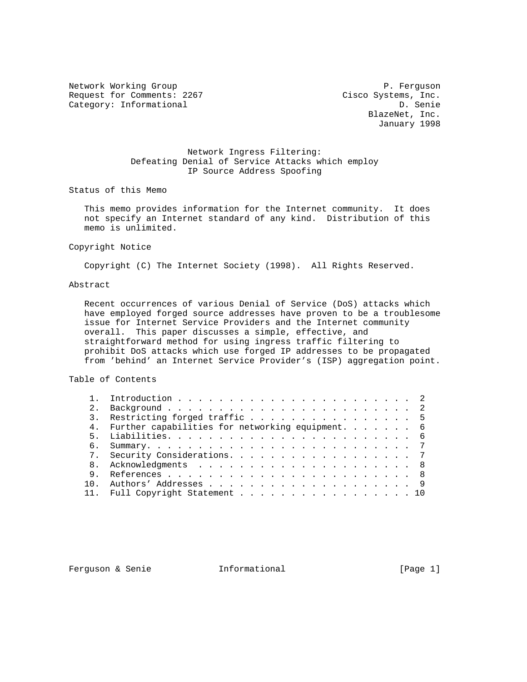Network Working Group **P. Ferguson** Request for Comments: 2267 Cisco Systems, Inc. Category: Informational D. Senie

 BlazeNet, Inc. January 1998

# Network Ingress Filtering: Defeating Denial of Service Attacks which employ IP Source Address Spoofing

Status of this Memo

 This memo provides information for the Internet community. It does not specify an Internet standard of any kind. Distribution of this memo is unlimited.

#### Copyright Notice

Copyright (C) The Internet Society (1998). All Rights Reserved.

### Abstract

 Recent occurrences of various Denial of Service (DoS) attacks which have employed forged source addresses have proven to be a troublesome issue for Internet Service Providers and the Internet community overall. This paper discusses a simple, effective, and straightforward method for using ingress traffic filtering to prohibit DoS attacks which use forged IP addresses to be propagated from 'behind' an Internet Service Provider's (ISP) aggregation point.

### Table of Contents

|     | 3. Restricting forged traffic 5                     |  |  |  |  |
|-----|-----------------------------------------------------|--|--|--|--|
|     | 4. Further capabilities for networking equipment. 6 |  |  |  |  |
|     |                                                     |  |  |  |  |
|     |                                                     |  |  |  |  |
|     | 7. Security Considerations. 7                       |  |  |  |  |
|     |                                                     |  |  |  |  |
|     |                                                     |  |  |  |  |
| 1 N |                                                     |  |  |  |  |
|     | 11. Full Copyright Statement 10                     |  |  |  |  |

Ferguson & Senie **Informational** [Page 1]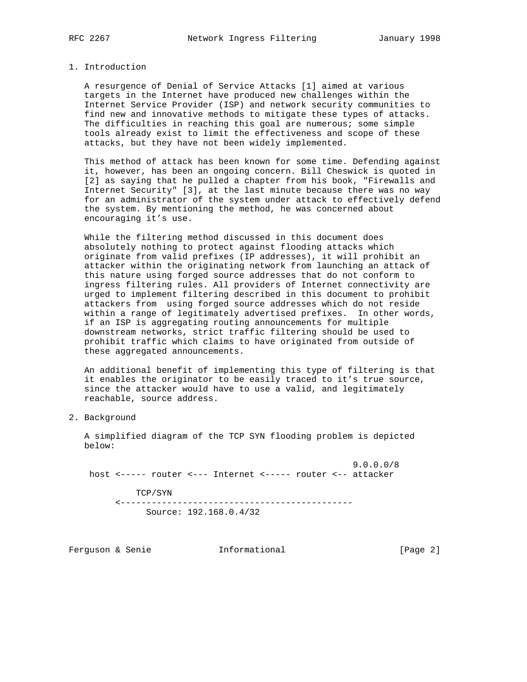#### 1. Introduction

 A resurgence of Denial of Service Attacks [1] aimed at various targets in the Internet have produced new challenges within the Internet Service Provider (ISP) and network security communities to find new and innovative methods to mitigate these types of attacks. The difficulties in reaching this goal are numerous; some simple tools already exist to limit the effectiveness and scope of these attacks, but they have not been widely implemented.

 This method of attack has been known for some time. Defending against it, however, has been an ongoing concern. Bill Cheswick is quoted in [2] as saying that he pulled a chapter from his book, "Firewalls and Internet Security" [3], at the last minute because there was no way for an administrator of the system under attack to effectively defend the system. By mentioning the method, he was concerned about encouraging it's use.

 While the filtering method discussed in this document does absolutely nothing to protect against flooding attacks which originate from valid prefixes (IP addresses), it will prohibit an attacker within the originating network from launching an attack of this nature using forged source addresses that do not conform to ingress filtering rules. All providers of Internet connectivity are urged to implement filtering described in this document to prohibit attackers from using forged source addresses which do not reside within a range of legitimately advertised prefixes. In other words, if an ISP is aggregating routing announcements for multiple downstream networks, strict traffic filtering should be used to prohibit traffic which claims to have originated from outside of these aggregated announcements.

 An additional benefit of implementing this type of filtering is that it enables the originator to be easily traced to it's true source, since the attacker would have to use a valid, and legitimately reachable, source address.

2. Background

 A simplified diagram of the TCP SYN flooding problem is depicted below:

 9.0.0.0/8 host <----- router <--- Internet <----- router <-- attacker

 TCP/SYN <--------------------------------------------- Source: 192.168.0.4/32

Ferguson & Senie **Informational Example 1** [Page 2]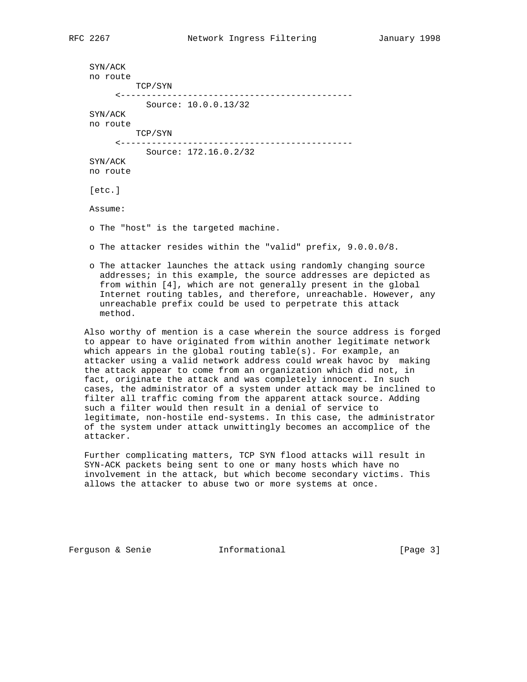```
 SYN/ACK
no route
         TCP/SYN
     <---------------------------------------------
          Source: 10.0.0.13/32
SYN/ACK
no route
        TCP/SYN
     <---------------------------------------------
          Source: 172.16.0.2/32
SYN/ACK
no route
[etc.]
Assume:
o The "host" is the targeted machine.
o The attacker resides within the "valid" prefix, 9.0.0.0/8.
o The attacker launches the attack using randomly changing source
  addresses; in this example, the source addresses are depicted as
  from within [4], which are not generally present in the global
  Internet routing tables, and therefore, unreachable. However, any
  unreachable prefix could be used to perpetrate this attack
 method.
```
 Also worthy of mention is a case wherein the source address is forged to appear to have originated from within another legitimate network which appears in the global routing table(s). For example, an attacker using a valid network address could wreak havoc by making the attack appear to come from an organization which did not, in fact, originate the attack and was completely innocent. In such cases, the administrator of a system under attack may be inclined to filter all traffic coming from the apparent attack source. Adding such a filter would then result in a denial of service to legitimate, non-hostile end-systems. In this case, the administrator of the system under attack unwittingly becomes an accomplice of the attacker.

 Further complicating matters, TCP SYN flood attacks will result in SYN-ACK packets being sent to one or many hosts which have no involvement in the attack, but which become secondary victims. This allows the attacker to abuse two or more systems at once.

Ferguson & Senie **Informational** [Page 3]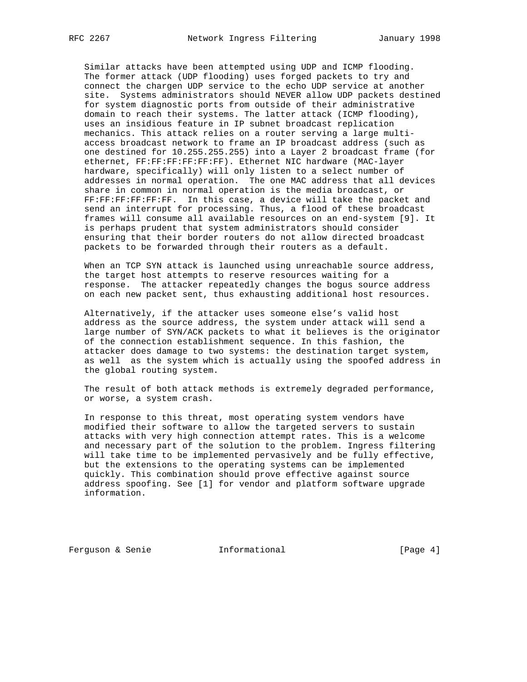Similar attacks have been attempted using UDP and ICMP flooding. The former attack (UDP flooding) uses forged packets to try and connect the chargen UDP service to the echo UDP service at another site. Systems administrators should NEVER allow UDP packets destined for system diagnostic ports from outside of their administrative domain to reach their systems. The latter attack (ICMP flooding), uses an insidious feature in IP subnet broadcast replication mechanics. This attack relies on a router serving a large multi access broadcast network to frame an IP broadcast address (such as one destined for 10.255.255.255) into a Layer 2 broadcast frame (for ethernet, FF:FF:FF:FF:FF:FF). Ethernet NIC hardware (MAC-layer hardware, specifically) will only listen to a select number of addresses in normal operation. The one MAC address that all devices share in common in normal operation is the media broadcast, or FF:FF:FF:FF:FF:FF. In this case, a device will take the packet and send an interrupt for processing. Thus, a flood of these broadcast frames will consume all available resources on an end-system [9]. It is perhaps prudent that system administrators should consider ensuring that their border routers do not allow directed broadcast packets to be forwarded through their routers as a default.

 When an TCP SYN attack is launched using unreachable source address, the target host attempts to reserve resources waiting for a response. The attacker repeatedly changes the bogus source address on each new packet sent, thus exhausting additional host resources.

 Alternatively, if the attacker uses someone else's valid host address as the source address, the system under attack will send a large number of SYN/ACK packets to what it believes is the originator of the connection establishment sequence. In this fashion, the attacker does damage to two systems: the destination target system, as well as the system which is actually using the spoofed address in the global routing system.

 The result of both attack methods is extremely degraded performance, or worse, a system crash.

 In response to this threat, most operating system vendors have modified their software to allow the targeted servers to sustain attacks with very high connection attempt rates. This is a welcome and necessary part of the solution to the problem. Ingress filtering will take time to be implemented pervasively and be fully effective, but the extensions to the operating systems can be implemented quickly. This combination should prove effective against source address spoofing. See [1] for vendor and platform software upgrade information.

Ferguson & Senie **Informational** [Page 4]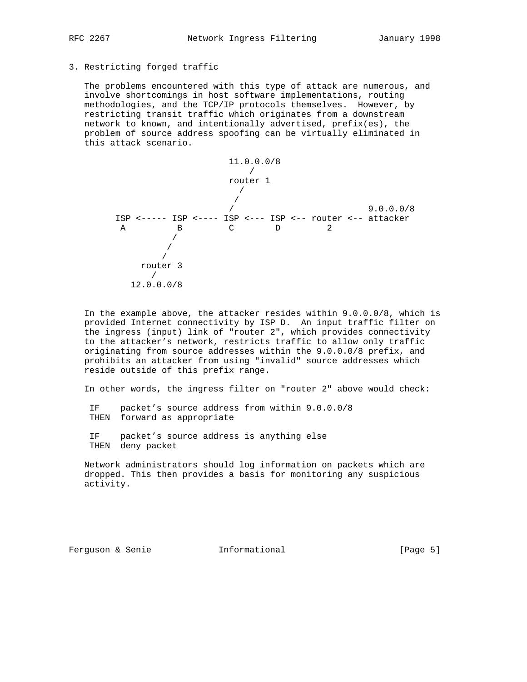## 3. Restricting forged traffic

 The problems encountered with this type of attack are numerous, and involve shortcomings in host software implementations, routing methodologies, and the TCP/IP protocols themselves. However, by restricting transit traffic which originates from a downstream network to known, and intentionally advertised, prefix(es), the problem of source address spoofing can be virtually eliminated in this attack scenario.



 In the example above, the attacker resides within 9.0.0.0/8, which is provided Internet connectivity by ISP D. An input traffic filter on the ingress (input) link of "router 2", which provides connectivity to the attacker's network, restricts traffic to allow only traffic originating from source addresses within the 9.0.0.0/8 prefix, and prohibits an attacker from using "invalid" source addresses which reside outside of this prefix range.

In other words, the ingress filter on "router 2" above would check:

 IF packet's source address from within 9.0.0.0/8 THEN forward as appropriate

 IF packet's source address is anything else THEN deny packet

 Network administrators should log information on packets which are dropped. This then provides a basis for monitoring any suspicious activity.

Ferguson & Senie **Informational** [Page 5]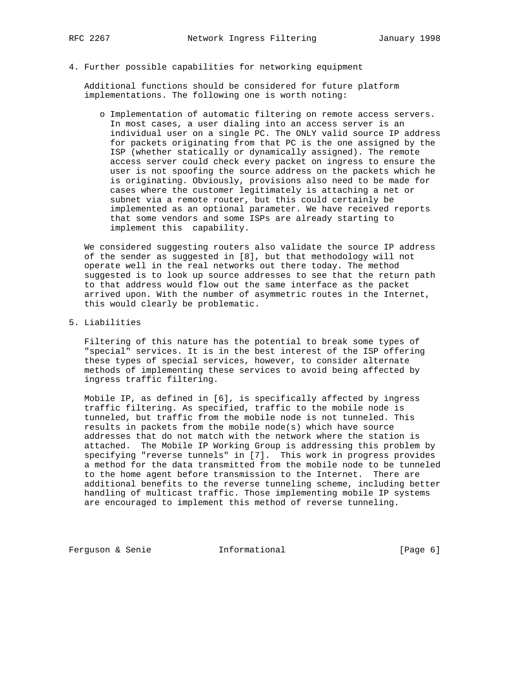4. Further possible capabilities for networking equipment

 Additional functions should be considered for future platform implementations. The following one is worth noting:

 o Implementation of automatic filtering on remote access servers. In most cases, a user dialing into an access server is an individual user on a single PC. The ONLY valid source IP address for packets originating from that PC is the one assigned by the ISP (whether statically or dynamically assigned). The remote access server could check every packet on ingress to ensure the user is not spoofing the source address on the packets which he is originating. Obviously, provisions also need to be made for cases where the customer legitimately is attaching a net or subnet via a remote router, but this could certainly be implemented as an optional parameter. We have received reports that some vendors and some ISPs are already starting to implement this capability.

 We considered suggesting routers also validate the source IP address of the sender as suggested in [8], but that methodology will not operate well in the real networks out there today. The method suggested is to look up source addresses to see that the return path to that address would flow out the same interface as the packet arrived upon. With the number of asymmetric routes in the Internet, this would clearly be problematic.

5. Liabilities

 Filtering of this nature has the potential to break some types of "special" services. It is in the best interest of the ISP offering these types of special services, however, to consider alternate methods of implementing these services to avoid being affected by ingress traffic filtering.

 Mobile IP, as defined in [6], is specifically affected by ingress traffic filtering. As specified, traffic to the mobile node is tunneled, but traffic from the mobile node is not tunneled. This results in packets from the mobile node(s) which have source addresses that do not match with the network where the station is attached. The Mobile IP Working Group is addressing this problem by specifying "reverse tunnels" in [7]. This work in progress provides a method for the data transmitted from the mobile node to be tunneled to the home agent before transmission to the Internet. There are additional benefits to the reverse tunneling scheme, including better handling of multicast traffic. Those implementing mobile IP systems are encouraged to implement this method of reverse tunneling.

Ferguson & Senie **Informational Example 1** Page 6]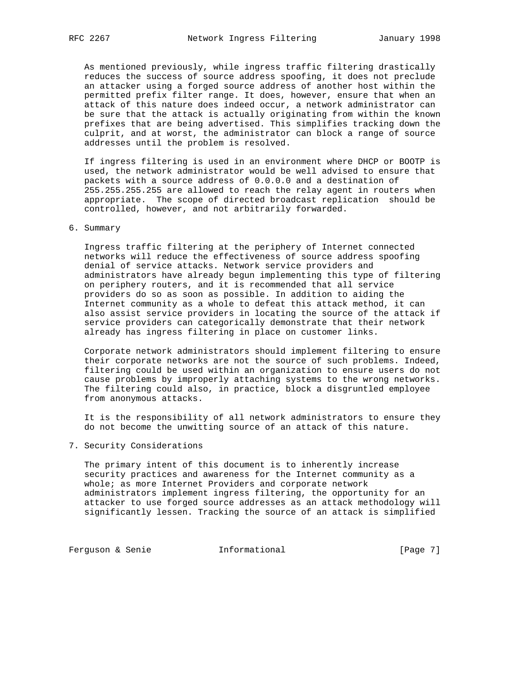As mentioned previously, while ingress traffic filtering drastically reduces the success of source address spoofing, it does not preclude an attacker using a forged source address of another host within the permitted prefix filter range. It does, however, ensure that when an attack of this nature does indeed occur, a network administrator can be sure that the attack is actually originating from within the known prefixes that are being advertised. This simplifies tracking down the culprit, and at worst, the administrator can block a range of source addresses until the problem is resolved.

 If ingress filtering is used in an environment where DHCP or BOOTP is used, the network administrator would be well advised to ensure that packets with a source address of 0.0.0.0 and a destination of 255.255.255.255 are allowed to reach the relay agent in routers when appropriate. The scope of directed broadcast replication should be controlled, however, and not arbitrarily forwarded.

### 6. Summary

 Ingress traffic filtering at the periphery of Internet connected networks will reduce the effectiveness of source address spoofing denial of service attacks. Network service providers and administrators have already begun implementing this type of filtering on periphery routers, and it is recommended that all service providers do so as soon as possible. In addition to aiding the Internet community as a whole to defeat this attack method, it can also assist service providers in locating the source of the attack if service providers can categorically demonstrate that their network already has ingress filtering in place on customer links.

 Corporate network administrators should implement filtering to ensure their corporate networks are not the source of such problems. Indeed, filtering could be used within an organization to ensure users do not cause problems by improperly attaching systems to the wrong networks. The filtering could also, in practice, block a disgruntled employee from anonymous attacks.

 It is the responsibility of all network administrators to ensure they do not become the unwitting source of an attack of this nature.

7. Security Considerations

 The primary intent of this document is to inherently increase security practices and awareness for the Internet community as a whole; as more Internet Providers and corporate network administrators implement ingress filtering, the opportunity for an attacker to use forged source addresses as an attack methodology will significantly lessen. Tracking the source of an attack is simplified

Ferguson & Senie **Informational Ferguson & Senie**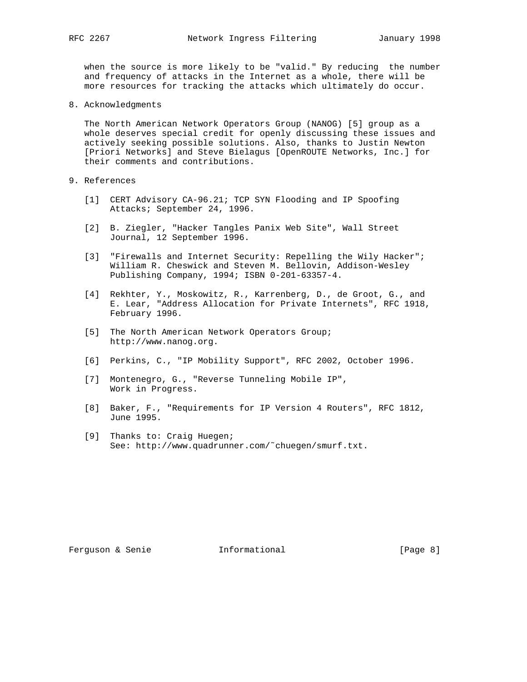when the source is more likely to be "valid." By reducing the number and frequency of attacks in the Internet as a whole, there will be more resources for tracking the attacks which ultimately do occur.

8. Acknowledgments

 The North American Network Operators Group (NANOG) [5] group as a whole deserves special credit for openly discussing these issues and actively seeking possible solutions. Also, thanks to Justin Newton [Priori Networks] and Steve Bielagus [OpenROUTE Networks, Inc.] for their comments and contributions.

- 9. References
	- [1] CERT Advisory CA-96.21; TCP SYN Flooding and IP Spoofing Attacks; September 24, 1996.
	- [2] B. Ziegler, "Hacker Tangles Panix Web Site", Wall Street Journal, 12 September 1996.
	- [3] "Firewalls and Internet Security: Repelling the Wily Hacker"; William R. Cheswick and Steven M. Bellovin, Addison-Wesley Publishing Company, 1994; ISBN 0-201-63357-4.
	- [4] Rekhter, Y., Moskowitz, R., Karrenberg, D., de Groot, G., and E. Lear, "Address Allocation for Private Internets", RFC 1918, February 1996.
	- [5] The North American Network Operators Group; http://www.nanog.org.
	- [6] Perkins, C., "IP Mobility Support", RFC 2002, October 1996.
	- [7] Montenegro, G., "Reverse Tunneling Mobile IP", Work in Progress.
	- [8] Baker, F., "Requirements for IP Version 4 Routers", RFC 1812, June 1995.
	- [9] Thanks to: Craig Huegen; See: http://www.quadrunner.com/˜chuegen/smurf.txt.

Ferguson & Senie **Informational** [Page 8]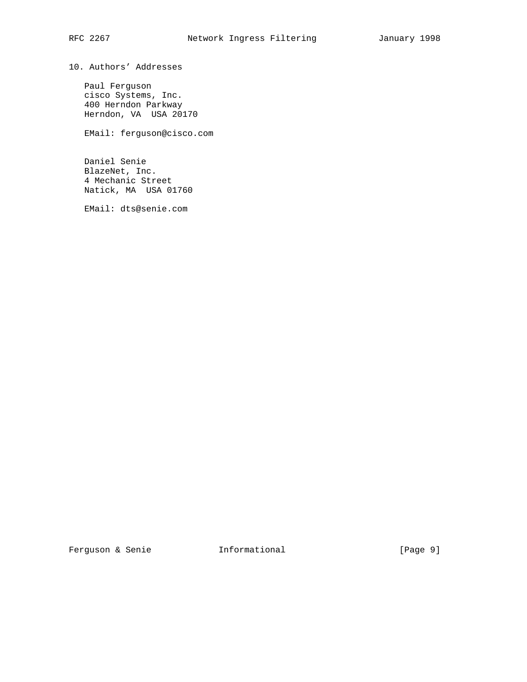10. Authors' Addresses

 Paul Ferguson cisco Systems, Inc. 400 Herndon Parkway Herndon, VA USA 20170

EMail: ferguson@cisco.com

 Daniel Senie BlazeNet, Inc. 4 Mechanic Street Natick, MA USA 01760

EMail: dts@senie.com